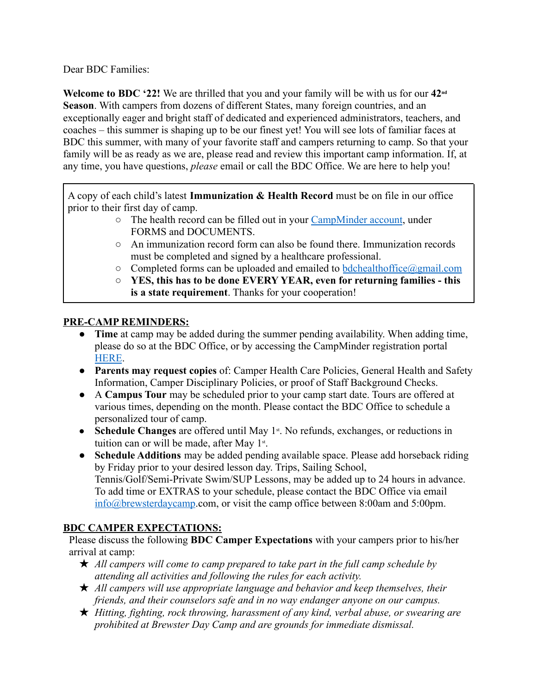Dear BDC Families:

**Welcome to BDC '22!** We are thrilled that you and your family will be with us for our **42nd Season**. With campers from dozens of different States, many foreign countries, and an exceptionally eager and bright staff of dedicated and experienced administrators, teachers, and coaches – this summer is shaping up to be our finest yet! You will see lots of familiar faces at BDC this summer, with many of your favorite staff and campers returning to camp. So that your family will be as ready as we are, please read and review this important camp information. If, at any time, you have questions, *please* email or call the BDC Office. We are here to help you!

A copy of each child's latest **Immunization & Health Record** must be on file in our office prior to their first day of camp.

- The health record can be filled out in your [CampMinder](https://brewster.campintouch.com/v2/login.aspx) account, under FORMS and DOCUMENTS.
- An immunization record form can also be found there. Immunization records must be completed and signed by a healthcare professional.
- $\circ$  Completed forms can be uploaded and emailed to [bdchealthoffice@gmail.com](mailto:bdchealthoffice@gmail.com)
- **YES, this has to be done EVERY YEAR, even for returning families this is a state requirement**. Thanks for your cooperation!

# **PRE-CAMP REMINDERS:**

- **Time** at camp may be added during the summer pending availability. When adding time, please do so at the BDC Office, or by accessing the CampMinder registration portal [HERE](https://brewster.campintouch.com/ui/forms/application/camper/App).
- **Parents may request copies** of: Camper Health Care Policies, General Health and Safety Information, Camper Disciplinary Policies, or proof of Staff Background Checks.
- A **Campus Tour** may be scheduled prior to your camp start date. Tours are offered at various times, depending on the month. Please contact the BDC Office to schedule a personalized tour of camp.
- Schedule Changes are offered until May 1<sup>st</sup>. No refunds, exchanges, or reductions in tuition can or will be made, after May  $1<sup>st</sup>$ .
- **Schedule Additions** may be added pending available space. Please add horseback riding by Friday prior to your desired lesson day. Trips, Sailing School, Tennis/Golf/Semi-Private Swim/SUP Lessons, may be added up to 24 hours in advance. To add time or EXTRAS to your schedule, please contact the BDC Office via email [info@brewsterdaycamp](mailto:info@brewsterdaycamp.com).com, or visit the camp office between 8:00am and 5:00pm.

# **BDC CAMPER EXPECTATIONS:**

Please discuss the following **BDC Camper Expectations** with your campers prior to his/her arrival at camp:

- ★ *All campers will come to camp prepared to take part in the full camp schedule by attending all activities and following the rules for each activity.*
- ★ *All campers will use appropriate language and behavior and keep themselves, their friends, and their counselors safe and in no way endanger anyone on our campus.*
- ★ *Hitting, fighting, rock throwing, harassment of any kind, verbal abuse, or swearing are prohibited at Brewster Day Camp and are grounds for immediate dismissal.*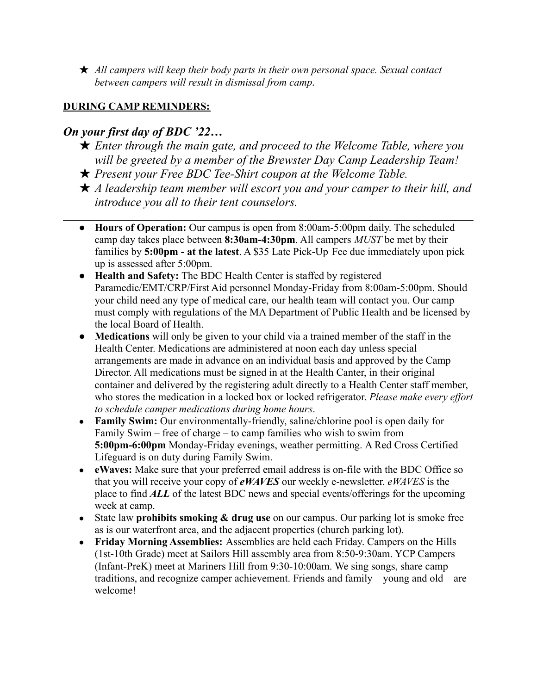★ *All campers will keep their body parts in their own personal space. Sexual contact between campers will result in dismissal from camp.*

# **DURING CAMP REMINDERS:**

# *On your first day of BDC '22…*

- ★ *Enter through the main gate, and proceed to the Welcome Table, where you will be greeted by a member of the Brewster Day Camp Leadership Team!*
- ★ *Present your Free BDC Tee-Shirt coupon at the Welcome Table.*
- ★ *A leadership team member will escort you and your camper to their hill, and introduce you all to their tent counselors.*
- $\mathcal{L}_\mathcal{L} = \{ \mathcal{L}_\mathcal{L} = \{ \mathcal{L}_\mathcal{L} = \{ \mathcal{L}_\mathcal{L} = \{ \mathcal{L}_\mathcal{L} = \{ \mathcal{L}_\mathcal{L} = \{ \mathcal{L}_\mathcal{L} = \{ \mathcal{L}_\mathcal{L} = \{ \mathcal{L}_\mathcal{L} = \{ \mathcal{L}_\mathcal{L} = \{ \mathcal{L}_\mathcal{L} = \{ \mathcal{L}_\mathcal{L} = \{ \mathcal{L}_\mathcal{L} = \{ \mathcal{L}_\mathcal{L} = \{ \mathcal{L}_\mathcal{$ ● **Hours of Operation:** Our campus is open from 8:00am-5:00pm daily. The scheduled camp day takes place between **8:30am-4:30pm**. All campers *MUST* be met by their families by **5:00pm - at the latest**. A \$35 Late Pick-Up Fee due immediately upon pick up is assessed after 5:00pm.
	- **Health and Safety:** The BDC Health Center is staffed by registered Paramedic/EMT/CRP/First Aid personnel Monday-Friday from 8:00am-5:00pm. Should your child need any type of medical care, our health team will contact you. Our camp must comply with regulations of the MA Department of Public Health and be licensed by the local Board of Health.
	- **Medications** will only be given to your child via a trained member of the staff in the Health Center. Medications are administered at noon each day unless special arrangements are made in advance on an individual basis and approved by the Camp Director. All medications must be signed in at the Health Canter, in their original container and delivered by the registering adult directly to a Health Center staff member, who stores the medication in a locked box or locked refrigerator. *Please make every effort to schedule camper medications during home hours*.
	- **Family Swim:** Our environmentally-friendly, saline/chlorine pool is open daily for Family Swim – free of charge – to camp families who wish to swim from **5:00pm-6:00pm** Monday-Friday evenings, weather permitting. A Red Cross Certified Lifeguard is on duty during Family Swim.
	- **eWaves:** Make sure that your preferred email address is on-file with the BDC Office so that you will receive your copy of *eWAVES* our weekly e-newsletter. *eWAVES* is the place to find *ALL* of the latest BDC news and special events/offerings for the upcoming week at camp.
	- State law **prohibits smoking & drug use** on our campus. Our parking lot is smoke free as is our waterfront area, and the adjacent properties (church parking lot).
	- **Friday Morning Assemblies:** Assemblies are held each Friday. Campers on the Hills (1st-10th Grade) meet at Sailors Hill assembly area from 8:50-9:30am. YCP Campers (Infant-PreK) meet at Mariners Hill from 9:30-10:00am. We sing songs, share camp traditions, and recognize camper achievement. Friends and family – young and old – are welcome!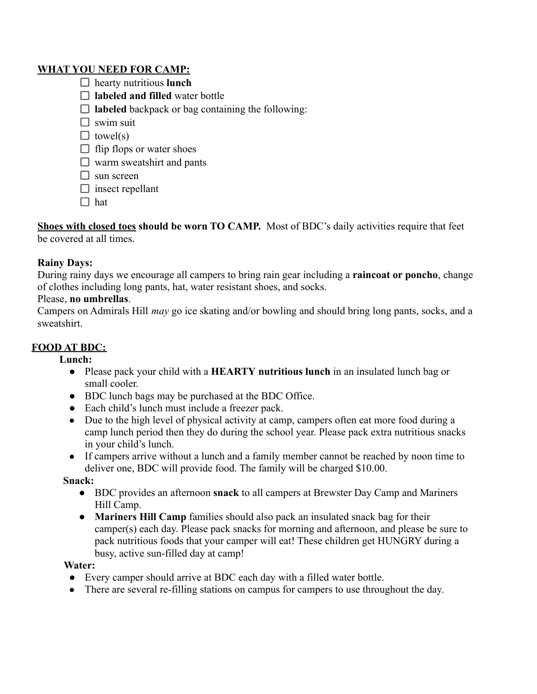### **WHAT YOU NEED FOR CAMP:**

- hearty nutritious **lunch**
- □ labeled and filled water bottle
- $\Box$  **labeled** backpack or bag containing the following:
- $\square$  swim suit
- $\Box$  towel(s)
- $\Box$  flip flops or water shoes
- $\Box$  warm sweatshirt and pants
- $\Box$  sun screen
- $\Box$  insect repellant
- $\Box$  hat

**Shoes with closed toes should be worn TO CAMP.** Most of BDC's daily activities require that feet be covered at all times.

### **Rainy Days:**

During rainy days we encourage all campers to bring rain gear including a **raincoat or poncho**, change of clothes including long pants, hat, water resistant shoes, and socks.

### Please, **no umbrellas**.

Campers on Admirals Hill *may* go ice skating and/or bowling and should bring long pants, socks, and a sweatshirt.

# **FOOD AT BDC:**

#### **Lunch:**

- Please pack your child with a **HEARTY nutritious lunch** in an insulated lunch bag or small cooler.
- BDC lunch bags may be purchased at the BDC Office.
- Each child's lunch must include a freezer pack.
- Due to the high level of physical activity at camp, campers often eat more food during a camp lunch period then they do during the school year. Please pack extra nutritious snacks in your child's lunch.
- If campers arrive without a lunch and a family member cannot be reached by noon time to deliver one, BDC will provide food. The family will be charged \$10.00.

**Snack:**

- BDC provides an afternoon **snack** to all campers at Brewster Day Camp and Mariners Hill Camp.
- **Mariners Hill Camp** families should also pack an insulated snack bag for their camper(s) each day. Please pack snacks for morning and afternoon, and please be sure to pack nutritious foods that your camper will eat! These children get HUNGRY during a busy, active sun-filled day at camp!

#### **Water:**

- Every camper should arrive at BDC each day with a filled water bottle.
- There are several re-filling stations on campus for campers to use throughout the day.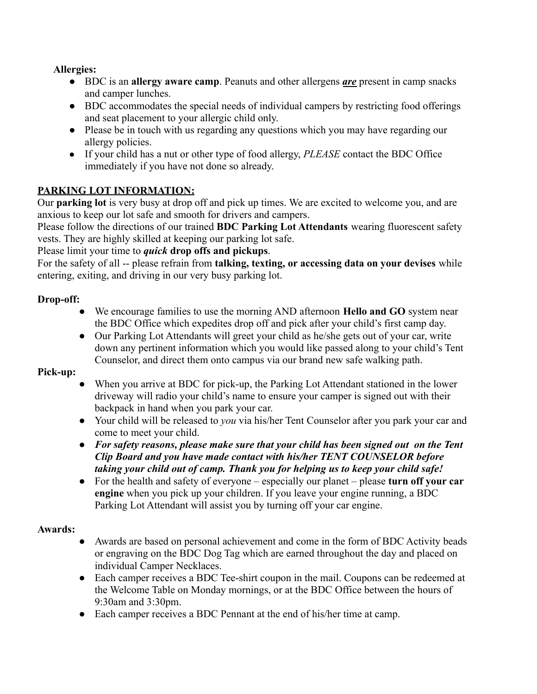### **Allergies:**

- BDC is an **allergy aware camp**. Peanuts and other allergens *are* present in camp snacks and camper lunches.
- BDC accommodates the special needs of individual campers by restricting food offerings and seat placement to your allergic child only.
- Please be in touch with us regarding any questions which you may have regarding our allergy policies.
- If your child has a nut or other type of food allergy, *PLEASE* contact the BDC Office immediately if you have not done so already.

# **PARKING LOT INFORMATION:**

Our **parking lot** is very busy at drop off and pick up times. We are excited to welcome you, and are anxious to keep our lot safe and smooth for drivers and campers.

Please follow the directions of our trained **BDC Parking Lot Attendants** wearing fluorescent safety vests. They are highly skilled at keeping our parking lot safe.

Please limit your time to *quick* **drop offs and pickups**.

For the safety of all -- please refrain from **talking, texting, or accessing data on your devises** while entering, exiting, and driving in our very busy parking lot.

### **Drop-off:**

- We encourage families to use the morning AND afternoon **Hello and GO** system near the BDC Office which expedites drop off and pick after your child's first camp day.
- Our Parking Lot Attendants will greet your child as he/she gets out of your car, write down any pertinent information which you would like passed along to your child's Tent Counselor, and direct them onto campus via our brand new safe walking path.

# **Pick-up:**

- When you arrive at BDC for pick-up, the Parking Lot Attendant stationed in the lower driveway will radio your child's name to ensure your camper is signed out with their backpack in hand when you park your car.
- Your child will be released to *you* via his/her Tent Counselor after you park your car and come to meet your child.
- *For safety reasons, please make sure that your child has been signed out on the Tent Clip Board and you have made contact with his/her TENT COUNSELOR before taking your child out of camp. Thank you for helping us to keep your child safe!*
- For the health and safety of everyone especially our planet please **turn off your car engine** when you pick up your children. If you leave your engine running, a BDC Parking Lot Attendant will assist you by turning off your car engine.

# **Awards:**

- Awards are based on personal achievement and come in the form of BDC Activity beads or engraving on the BDC Dog Tag which are earned throughout the day and placed on individual Camper Necklaces.
- Each camper receives a BDC Tee-shirt coupon in the mail. Coupons can be redeemed at the Welcome Table on Monday mornings, or at the BDC Office between the hours of 9:30am and 3:30pm.
- Each camper receives a BDC Pennant at the end of his/her time at camp.